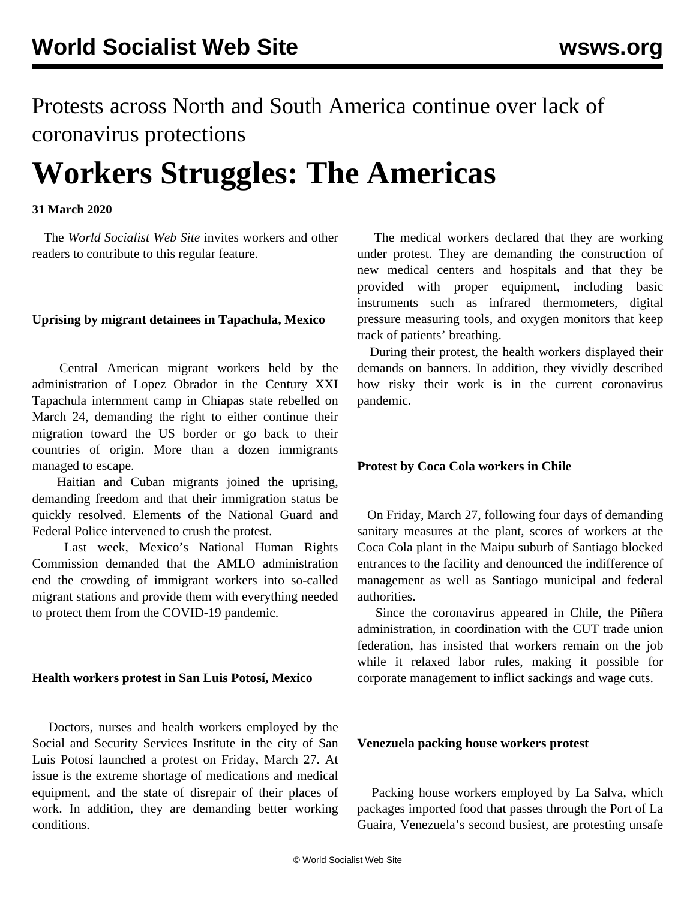Protests across North and South America continue over lack of coronavirus protections

# **Workers Struggles: The Americas**

# **31 March 2020**

 The *World Socialist Web Site* invites workers and other readers to [contribute](/en/special/contact.html) to this regular feature.

# **Uprising by migrant detainees in Tapachula, Mexico**

 Central American migrant workers held by the administration of Lopez Obrador in the Century XXI Tapachula internment camp in Chiapas state rebelled on March 24, demanding the right to either continue their migration toward the US border or go back to their countries of origin. More than a dozen immigrants managed to escape.

 Haitian and Cuban migrants joined the uprising, demanding freedom and that their immigration status be quickly resolved. Elements of the National Guard and Federal Police intervened to crush the protest.

 Last week, Mexico's National Human Rights Commission demanded that the AMLO administration end the crowding of immigrant workers into so-called migrant stations and provide them with everything needed to protect them from the COVID-19 pandemic.

#### **Health workers protest in San Luis Potosí, Mexico**

 Doctors, nurses and health workers employed by the Social and Security Services Institute in the city of San Luis Potosí launched a protest on Friday, March 27. At issue is the extreme shortage of medications and medical equipment, and the state of disrepair of their places of work. In addition, they are demanding better working conditions.

 The medical workers declared that they are working under protest. They are demanding the construction of new medical centers and hospitals and that they be provided with proper equipment, including basic instruments such as infrared thermometers, digital pressure measuring tools, and oxygen monitors that keep track of patients' breathing.

 During their protest, the health workers displayed their demands on banners. In addition, they vividly described how risky their work is in the current coronavirus pandemic.

#### **Protest by Coca Cola workers in Chile**

 On Friday, March 27, following four days of demanding sanitary measures at the plant, scores of workers at the Coca Cola plant in the Maipu suburb of Santiago blocked entrances to the facility and denounced the indifference of management as well as Santiago municipal and federal authorities.

 Since the coronavirus appeared in Chile, the Piñera administration, in coordination with the CUT trade union federation, has insisted that workers remain on the job while it relaxed labor rules, making it possible for corporate management to inflict sackings and wage cuts.

# **Venezuela packing house workers protest**

 Packing house workers employed by La Salva, which packages imported food that passes through the Port of La Guaira, Venezuela's second busiest, are protesting unsafe